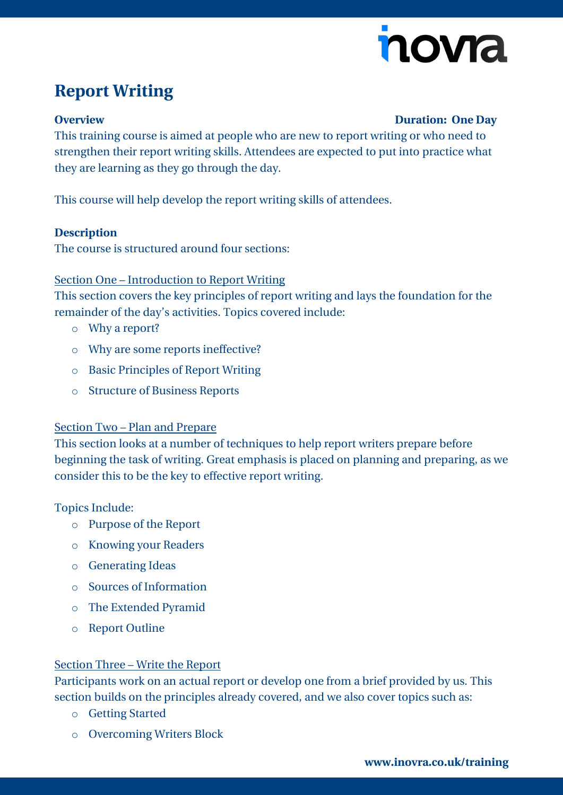

# **Report Writing**

#### **Overview Duration: One Day**

This training course is aimed at people who are new to report writing or who need to strengthen their report writing skills. Attendees are expected to put into practice what they are learning as they go through the day.

This course will help develop the report writing skills of attendees.

#### **Description**

The course is structured around four sections:

### Section One – Introduction to Report Writing

This section covers the key principles of report writing and lays the foundation for the remainder of the day's activities. Topics covered include:

- o Why a report?
- o Why are some reports ineffective?
- o Basic Principles of Report Writing
- o Structure of Business Reports

### Section Two – Plan and Prepare

This section looks at a number of techniques to help report writers prepare before beginning the task of writing. Great emphasis is placed on planning and preparing, as we consider this to be the key to effective report writing.

### Topics Include:

- o Purpose of the Report
- o Knowing your Readers
- o Generating Ideas
- o Sources of Information
- o The Extended Pyramid
- o Report Outline

### Section Three – Write the Report

Participants work on an actual report or develop one from a brief provided by us. This section builds on the principles already covered, and we also cover topics such as:

- o Getting Started
- o Overcoming Writers Block